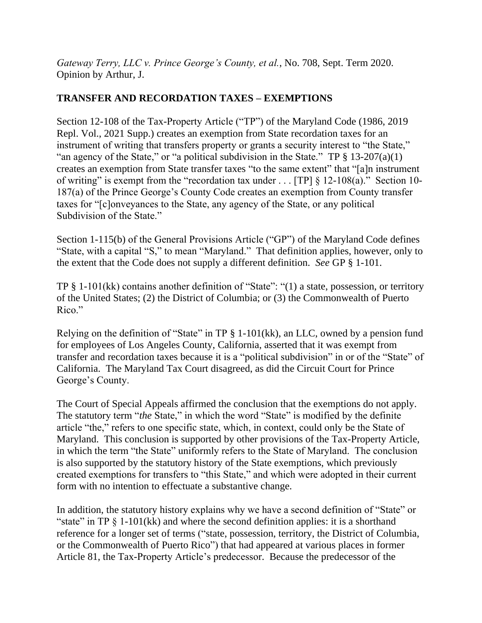*Gateway Terry, LLC v. Prince George's County, et al.*, No. 708, Sept. Term 2020. Opinion by Arthur, J.

# **TRANSFER AND RECORDATION TAXES – EXEMPTIONS**

Section 12-108 of the Tax-Property Article ("TP") of the Maryland Code (1986, 2019 Repl. Vol., 2021 Supp.) creates an exemption from State recordation taxes for an instrument of writing that transfers property or grants a security interest to "the State," "an agency of the State," or "a political subdivision in the State." TP  $\S 13{\text -}207(a)(1)$ creates an exemption from State transfer taxes "to the same extent" that "[a]n instrument of writing" is exempt from the "recordation tax under . . . [TP]  $\S 12{\text -}108(a)$ ." Section 10-187(a) of the Prince George's County Code creates an exemption from County transfer taxes for "[c]onveyances to the State, any agency of the State, or any political Subdivision of the State."

Section 1-115(b) of the General Provisions Article ("GP") of the Maryland Code defines "State, with a capital "S," to mean "Maryland." That definition applies, however, only to the extent that the Code does not supply a different definition. *See* GP § 1-101.

TP § 1-101(kk) contains another definition of "State": "(1) a state, possession, or territory of the United States; (2) the District of Columbia; or (3) the Commonwealth of Puerto Rico."

Relying on the definition of "State" in TP § 1-101(kk), an LLC, owned by a pension fund for employees of Los Angeles County, California, asserted that it was exempt from transfer and recordation taxes because it is a "political subdivision" in or of the "State" of California. The Maryland Tax Court disagreed, as did the Circuit Court for Prince George's County.

The Court of Special Appeals affirmed the conclusion that the exemptions do not apply. The statutory term "*the* State," in which the word "State" is modified by the definite article "the," refers to one specific state, which, in context, could only be the State of Maryland. This conclusion is supported by other provisions of the Tax-Property Article, in which the term "the State" uniformly refers to the State of Maryland. The conclusion is also supported by the statutory history of the State exemptions, which previously created exemptions for transfers to "this State," and which were adopted in their current form with no intention to effectuate a substantive change.

In addition, the statutory history explains why we have a second definition of "State" or "state" in TP  $\S$  1-101(kk) and where the second definition applies: it is a shorthand reference for a longer set of terms ("state, possession, territory, the District of Columbia, or the Commonwealth of Puerto Rico") that had appeared at various places in former Article 81, the Tax-Property Article's predecessor. Because the predecessor of the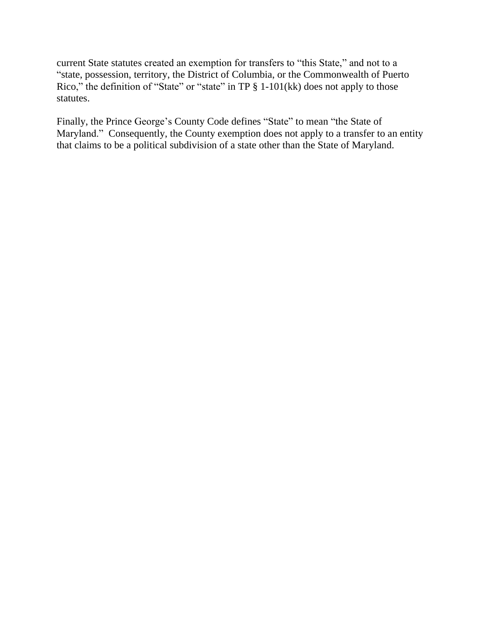current State statutes created an exemption for transfers to "this State," and not to a "state, possession, territory, the District of Columbia, or the Commonwealth of Puerto Rico," the definition of "State" or "state" in TP § 1-101(kk) does not apply to those statutes.

Finally, the Prince George's County Code defines "State" to mean "the State of Maryland." Consequently, the County exemption does not apply to a transfer to an entity that claims to be a political subdivision of a state other than the State of Maryland.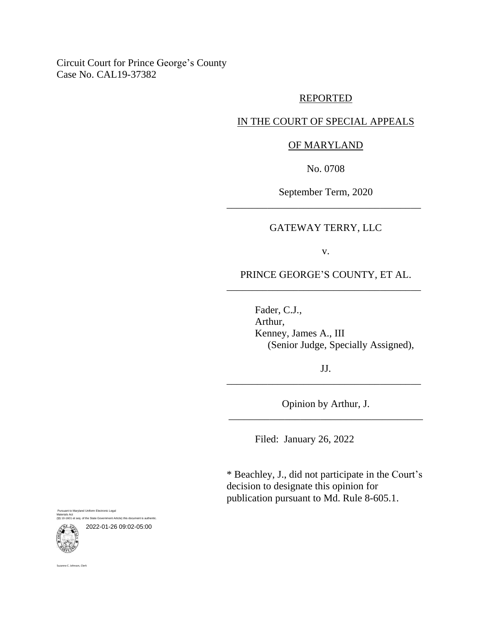Circuit Court for Prince George's County Case No. CAL19-37382

#### REPORTED

### IN THE COURT OF SPECIAL APPEALS

### OF MARYLAND

No. 0708

September Term, 2020 \_\_\_\_\_\_\_\_\_\_\_\_\_\_\_\_\_\_\_\_\_\_\_\_\_\_\_\_\_\_\_\_\_\_\_\_\_\_

### GATEWAY TERRY, LLC

v.

PRINCE GEORGE'S COUNTY, ET AL. \_\_\_\_\_\_\_\_\_\_\_\_\_\_\_\_\_\_\_\_\_\_\_\_\_\_\_\_\_\_\_\_\_\_\_\_\_\_

> Fader, C.J., Arthur, Kenney, James A., III (Senior Judge, Specially Assigned),

JJ. \_\_\_\_\_\_\_\_\_\_\_\_\_\_\_\_\_\_\_\_\_\_\_\_\_\_\_\_\_\_\_\_\_\_\_\_\_\_

Opinion by Arthur, J. \_\_\_\_\_\_\_\_\_\_\_\_\_\_\_\_\_\_\_\_\_\_\_\_\_\_\_\_\_\_\_\_\_\_\_\_\_\_

Filed: January 26, 2022

\* Beachley, J., did not participate in the Court's decision to designate this opinion for publication pursuant to Md. Rule 8-605.1.

suant to Maryland Uniform Electronic Legal Materials Act (§§ 10-1601 et seq. of the State Government Article) this document is authentic. 2022-01-26 09:02-05:00



Suzanne C. Johnson, Clerk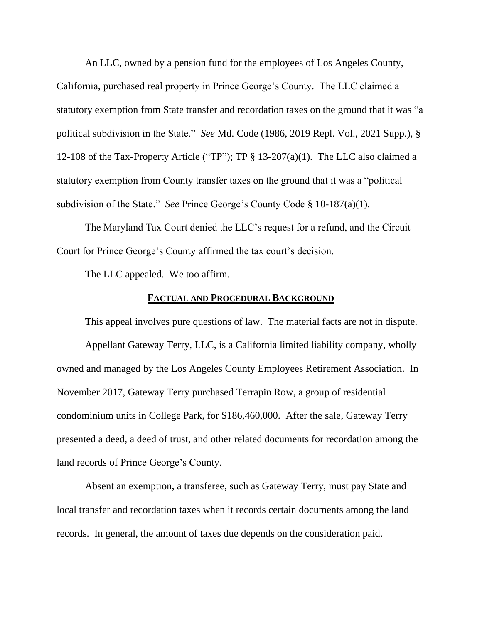An LLC, owned by a pension fund for the employees of Los Angeles County, California, purchased real property in Prince George's County. The LLC claimed a statutory exemption from State transfer and recordation taxes on the ground that it was "a political subdivision in the State." *See* Md. Code (1986, 2019 Repl. Vol., 2021 Supp.), § 12-108 of the Tax-Property Article ("TP"); TP § 13-207(a)(1). The LLC also claimed a statutory exemption from County transfer taxes on the ground that it was a "political subdivision of the State." *See* Prince George's County Code § 10-187(a)(1).

The Maryland Tax Court denied the LLC's request for a refund, and the Circuit Court for Prince George's County affirmed the tax court's decision.

The LLC appealed. We too affirm.

### **FACTUAL AND PROCEDURAL BACKGROUND**

This appeal involves pure questions of law. The material facts are not in dispute. Appellant Gateway Terry, LLC, is a California limited liability company, wholly owned and managed by the Los Angeles County Employees Retirement Association. In November 2017, Gateway Terry purchased Terrapin Row, a group of residential condominium units in College Park, for \$186,460,000. After the sale, Gateway Terry presented a deed, a deed of trust, and other related documents for recordation among the land records of Prince George's County.

Absent an exemption, a transferee, such as Gateway Terry, must pay State and local transfer and recordation taxes when it records certain documents among the land records. In general, the amount of taxes due depends on the consideration paid.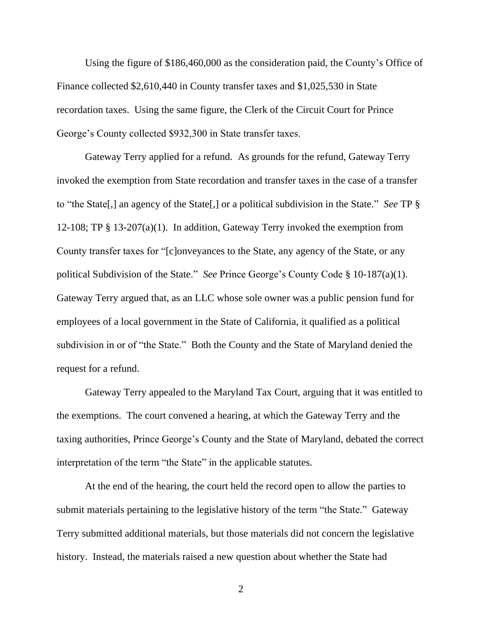Using the figure of \$186,460,000 as the consideration paid, the County's Office of Finance collected \$2,610,440 in County transfer taxes and \$1,025,530 in State recordation taxes. Using the same figure, the Clerk of the Circuit Court for Prince George's County collected \$932,300 in State transfer taxes.

Gateway Terry applied for a refund. As grounds for the refund, Gateway Terry invoked the exemption from State recordation and transfer taxes in the case of a transfer to "the State[,] an agency of the State[,] or a political subdivision in the State." *See* TP § 12-108; TP § 13-207(a)(1). In addition, Gateway Terry invoked the exemption from County transfer taxes for "[c]onveyances to the State, any agency of the State, or any political Subdivision of the State." *See* Prince George's County Code § 10-187(a)(1). Gateway Terry argued that, as an LLC whose sole owner was a public pension fund for employees of a local government in the State of California, it qualified as a political subdivision in or of "the State." Both the County and the State of Maryland denied the request for a refund.

Gateway Terry appealed to the Maryland Tax Court, arguing that it was entitled to the exemptions. The court convened a hearing, at which the Gateway Terry and the taxing authorities, Prince George's County and the State of Maryland, debated the correct interpretation of the term "the State" in the applicable statutes.

At the end of the hearing, the court held the record open to allow the parties to submit materials pertaining to the legislative history of the term "the State." Gateway Terry submitted additional materials, but those materials did not concern the legislative history. Instead, the materials raised a new question about whether the State had

2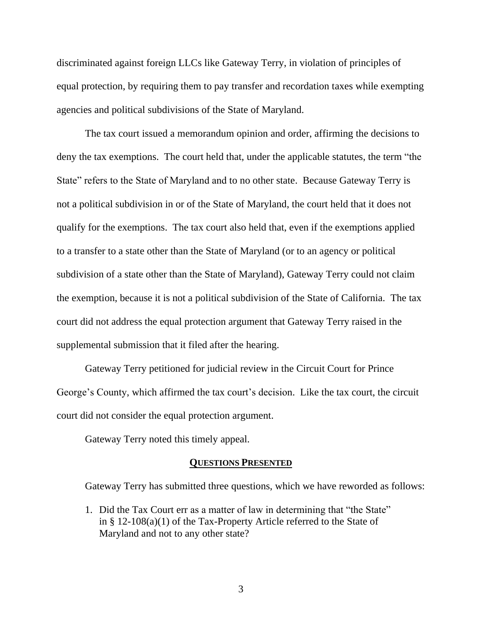discriminated against foreign LLCs like Gateway Terry, in violation of principles of equal protection, by requiring them to pay transfer and recordation taxes while exempting agencies and political subdivisions of the State of Maryland.

The tax court issued a memorandum opinion and order, affirming the decisions to deny the tax exemptions. The court held that, under the applicable statutes, the term "the State" refers to the State of Maryland and to no other state. Because Gateway Terry is not a political subdivision in or of the State of Maryland, the court held that it does not qualify for the exemptions. The tax court also held that, even if the exemptions applied to a transfer to a state other than the State of Maryland (or to an agency or political subdivision of a state other than the State of Maryland), Gateway Terry could not claim the exemption, because it is not a political subdivision of the State of California. The tax court did not address the equal protection argument that Gateway Terry raised in the supplemental submission that it filed after the hearing.

Gateway Terry petitioned for judicial review in the Circuit Court for Prince George's County, which affirmed the tax court's decision. Like the tax court, the circuit court did not consider the equal protection argument.

Gateway Terry noted this timely appeal.

### **QUESTIONS PRESENTED**

Gateway Terry has submitted three questions, which we have reworded as follows:

1. Did the Tax Court err as a matter of law in determining that "the State" in § 12-108(a)(1) of the Tax-Property Article referred to the State of Maryland and not to any other state?

3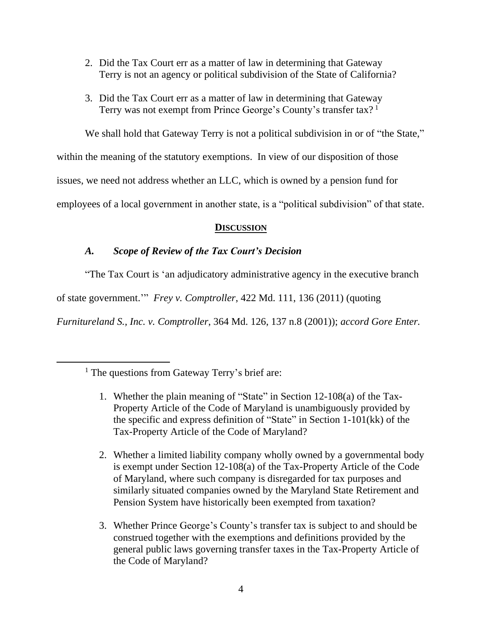- 2. Did the Tax Court err as a matter of law in determining that Gateway Terry is not an agency or political subdivision of the State of California?
- 3. Did the Tax Court err as a matter of law in determining that Gateway Terry was not exempt from Prince George's County's transfer tax?<sup>1</sup>

We shall hold that Gateway Terry is not a political subdivision in or of "the State,"

within the meaning of the statutory exemptions. In view of our disposition of those

issues, we need not address whether an LLC, which is owned by a pension fund for

employees of a local government in another state, is a "political subdivision" of that state.

## **DISCUSSION**

## *A. Scope of Review of the Tax Court's Decision*

"The Tax Court is 'an adjudicatory administrative agency in the executive branch

of state government.'" *Frey v. Comptroller*, 422 Md. 111, 136 (2011) (quoting

*Furnitureland S., Inc. v. Comptroller*, 364 Md. 126, 137 n.8 (2001)); *accord Gore Enter.*

- 1. Whether the plain meaning of "State" in Section 12-108(a) of the Tax-Property Article of the Code of Maryland is unambiguously provided by the specific and express definition of "State" in Section 1-101(kk) of the Tax-Property Article of the Code of Maryland?
- 2. Whether a limited liability company wholly owned by a governmental body is exempt under Section 12-108(a) of the Tax-Property Article of the Code of Maryland, where such company is disregarded for tax purposes and similarly situated companies owned by the Maryland State Retirement and Pension System have historically been exempted from taxation?
- 3. Whether Prince George's County's transfer tax is subject to and should be construed together with the exemptions and definitions provided by the general public laws governing transfer taxes in the Tax-Property Article of the Code of Maryland?

<sup>&</sup>lt;sup>1</sup> The questions from Gateway Terry's brief are: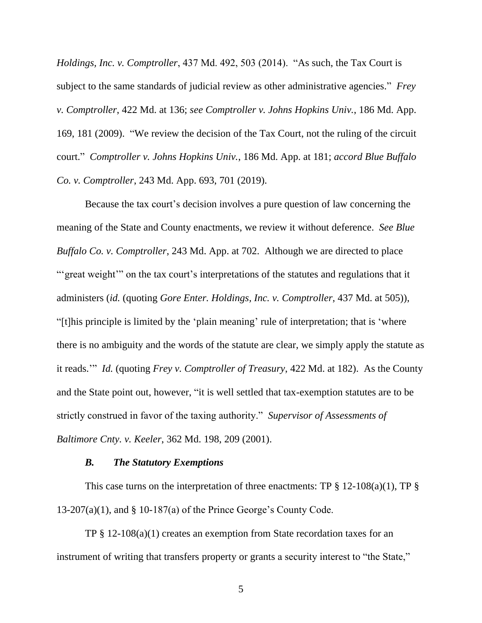*Holdings, Inc. v. Comptroller*, 437 Md. 492, 503 (2014). "As such, the Tax Court is subject to the same standards of judicial review as other administrative agencies." *Frey v. Comptroller*, 422 Md. at 136; *see Comptroller v. Johns Hopkins Univ.*, 186 Md. App. 169, 181 (2009). "We review the decision of the Tax Court, not the ruling of the circuit court." *Comptroller v. Johns Hopkins Univ.*, 186 Md. App. at 181; *accord Blue Buffalo Co. v. Comptroller*, 243 Md. App. 693, 701 (2019).

Because the tax court's decision involves a pure question of law concerning the meaning of the State and County enactments, we review it without deference. *See Blue Buffalo Co. v. Comptroller*, 243 Md. App. at 702. Although we are directed to place "'great weight'" on the tax court's interpretations of the statutes and regulations that it administers (*id.* (quoting *Gore Enter. Holdings, Inc. v. Comptroller*, 437 Md. at 505)), "[t]his principle is limited by the 'plain meaning' rule of interpretation; that is 'where there is no ambiguity and the words of the statute are clear, we simply apply the statute as it reads.'" *Id.* (quoting *Frey v. Comptroller of Treasury*, 422 Md. at 182). As the County and the State point out, however, "it is well settled that tax-exemption statutes are to be strictly construed in favor of the taxing authority." *Supervisor of Assessments of Baltimore Cnty. v. Keeler*, 362 Md. 198, 209 (2001).

### *B. The Statutory Exemptions*

This case turns on the interpretation of three enactments: TP  $\S$  12-108(a)(1), TP  $\S$ 13-207(a)(1), and § 10-187(a) of the Prince George's County Code.

TP § 12-108(a)(1) creates an exemption from State recordation taxes for an instrument of writing that transfers property or grants a security interest to "the State,"

5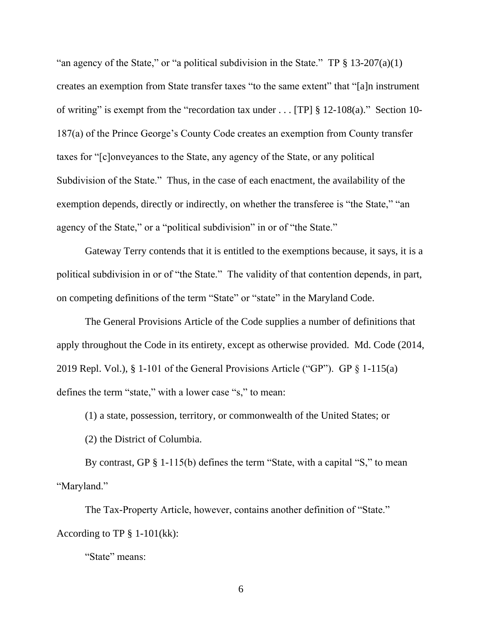"an agency of the State," or "a political subdivision in the State." TP  $\S$  13-207(a)(1) creates an exemption from State transfer taxes "to the same extent" that "[a]n instrument of writing" is exempt from the "recordation tax under . . . [TP] § 12-108(a)." Section 10- 187(a) of the Prince George's County Code creates an exemption from County transfer taxes for "[c]onveyances to the State, any agency of the State, or any political Subdivision of the State." Thus, in the case of each enactment, the availability of the exemption depends, directly or indirectly, on whether the transferee is "the State," "an agency of the State," or a "political subdivision" in or of "the State."

Gateway Terry contends that it is entitled to the exemptions because, it says, it is a political subdivision in or of "the State." The validity of that contention depends, in part, on competing definitions of the term "State" or "state" in the Maryland Code.

The General Provisions Article of the Code supplies a number of definitions that apply throughout the Code in its entirety, except as otherwise provided. Md. Code (2014, 2019 Repl. Vol.), § 1-101 of the General Provisions Article ("GP"). GP § 1-115(a) defines the term "state," with a lower case "s," to mean:

(1) a state, possession, territory, or commonwealth of the United States; or

(2) the District of Columbia.

By contrast, GP § 1-115(b) defines the term "State, with a capital "S," to mean "Maryland."

The Tax-Property Article, however, contains another definition of "State." According to TP § 1-101(kk):

"State" means: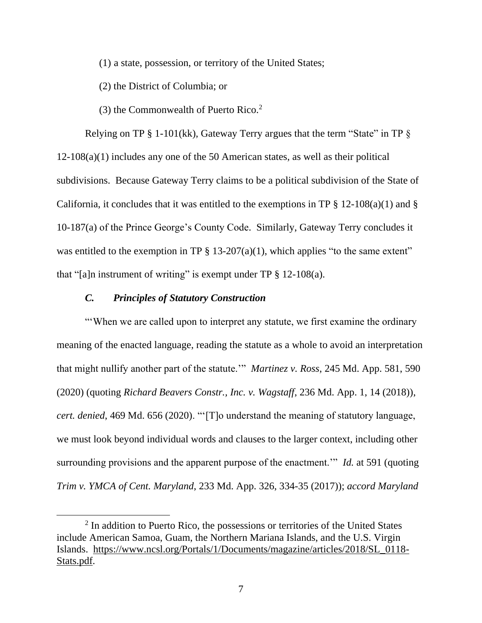(1) a state, possession, or territory of the United States;

(2) the District of Columbia; or

(3) the Commonwealth of Puerto Rico.<sup>2</sup>

Relying on TP  $\S 1$ -101(kk), Gateway Terry argues that the term "State" in TP  $\S$ 12-108(a)(1) includes any one of the 50 American states, as well as their political subdivisions. Because Gateway Terry claims to be a political subdivision of the State of California, it concludes that it was entitled to the exemptions in TP  $\S$  12-108(a)(1) and  $\S$ 10-187(a) of the Prince George's County Code. Similarly, Gateway Terry concludes it was entitled to the exemption in TP  $\S$  13-207(a)(1), which applies "to the same extent" that "[a]n instrument of writing" is exempt under TP  $\S$  12-108(a).

### *C. Principles of Statutory Construction*

"'When we are called upon to interpret any statute, we first examine the ordinary meaning of the enacted language, reading the statute as a whole to avoid an interpretation that might nullify another part of the statute.'" *Martinez v. Ross*, 245 Md. App. 581, 590 (2020) (quoting *Richard Beavers Constr., Inc. v. Wagstaff*, 236 Md. App. 1, 14 (2018)), *cert. denied*, 469 Md. 656 (2020). "'[T]o understand the meaning of statutory language, we must look beyond individual words and clauses to the larger context, including other surrounding provisions and the apparent purpose of the enactment.'" *Id.* at 591 (quoting *Trim v. YMCA of Cent. Maryland*, 233 Md. App. 326, 334-35 (2017)); *accord Maryland* 

<sup>&</sup>lt;sup>2</sup> In addition to Puerto Rico, the possessions or territories of the United States include American Samoa, Guam, the Northern Mariana Islands, and the U.S. Virgin Islands. [https://www.ncsl.org/Portals/1/Documents/magazine/articles/2018/SL\\_0118-](https://www.ncsl.org/Portals/1/Documents/magazine/articles/2018/SL_0118-Stats.pdf) [Stats.pdf.](https://www.ncsl.org/Portals/1/Documents/magazine/articles/2018/SL_0118-Stats.pdf)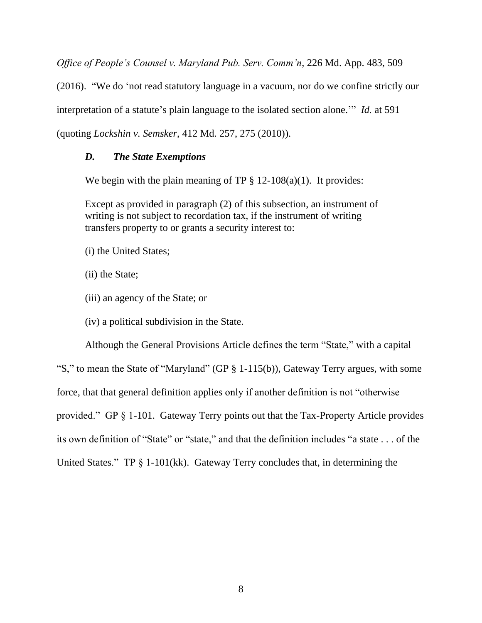*Office of People's Counsel v. Maryland Pub. Serv. Comm'n*, 226 Md. App. 483, 509

(2016). "We do 'not read statutory language in a vacuum, nor do we confine strictly our

interpretation of a statute's plain language to the isolated section alone.'" *Id.* at 591

(quoting *Lockshin v. Semsker*, 412 Md. 257, 275 (2010)).

## *D. The State Exemptions*

We begin with the plain meaning of TP  $\S 12{\text -}108(a)(1)$ . It provides:

Except as provided in paragraph (2) of this subsection, an instrument of writing is not subject to recordation tax, if the instrument of writing transfers property to or grants a security interest to:

- (i) the United States;
- (ii) the State;
- (iii) an agency of the State; or
- (iv) a political subdivision in the State.

Although the General Provisions Article defines the term "State," with a capital "S," to mean the State of "Maryland" (GP § 1-115(b)), Gateway Terry argues, with some force, that that general definition applies only if another definition is not "otherwise provided." GP § 1-101. Gateway Terry points out that the Tax-Property Article provides its own definition of "State" or "state," and that the definition includes "a state . . . of the United States." TP § 1-101(kk). Gateway Terry concludes that, in determining the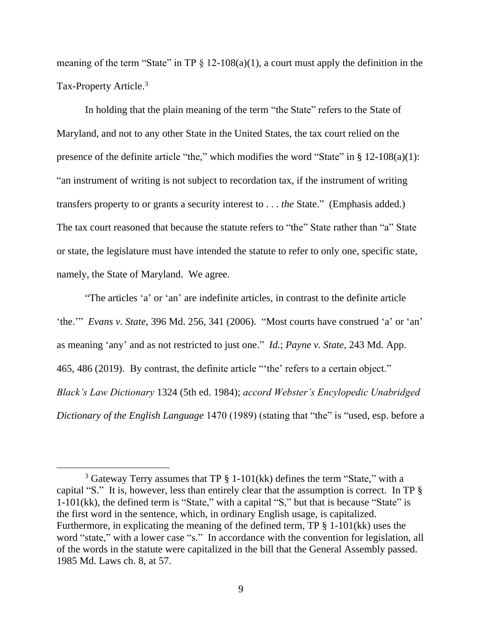meaning of the term "State" in TP  $\S$  12-108(a)(1), a court must apply the definition in the Tax-Property Article.<sup>3</sup>

In holding that the plain meaning of the term "the State" refers to the State of Maryland, and not to any other State in the United States, the tax court relied on the presence of the definite article "the," which modifies the word "State" in § 12-108(a)(1): "an instrument of writing is not subject to recordation tax, if the instrument of writing transfers property to or grants a security interest to . . . *the* State." (Emphasis added.) The tax court reasoned that because the statute refers to "the" State rather than "a" State or state, the legislature must have intended the statute to refer to only one, specific state, namely, the State of Maryland. We agree.

"The articles 'a' or 'an' are indefinite articles, in contrast to the definite article 'the.'" *Evans v. State*, 396 Md. 256, 341 (2006). "Most courts have construed 'a' or 'an' as meaning 'any' and as not restricted to just one." *Id.*; *Payne v. State*, 243 Md. App. 465, 486 (2019). By contrast, the definite article "'the' refers to a certain object." *Black's Law Dictionary* 1324 (5th ed. 1984); *accord Webster's Encylopedic Unabridged Dictionary of the English Language* 1470 (1989) (stating that "the" is "used, esp. before a

<sup>&</sup>lt;sup>3</sup> Gateway Terry assumes that TP  $\S$  1-101(kk) defines the term "State," with a capital "S." It is, however, less than entirely clear that the assumption is correct. In TP § 1-101(kk), the defined term is "State," with a capital "S," but that is because "State" is the first word in the sentence, which, in ordinary English usage, is capitalized. Furthermore, in explicating the meaning of the defined term, TP § 1-101(kk) uses the word "state," with a lower case "s." In accordance with the convention for legislation, all of the words in the statute were capitalized in the bill that the General Assembly passed. 1985 Md. Laws ch. 8, at 57.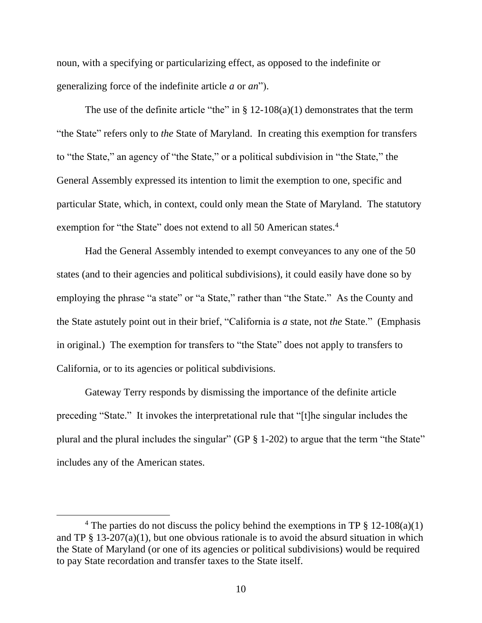noun, with a specifying or particularizing effect, as opposed to the indefinite or generalizing force of the indefinite article *a* or *an*").

The use of the definite article "the" in  $\S$  12-108(a)(1) demonstrates that the term "the State" refers only to *the* State of Maryland. In creating this exemption for transfers to "the State," an agency of "the State," or a political subdivision in "the State," the General Assembly expressed its intention to limit the exemption to one, specific and particular State, which, in context, could only mean the State of Maryland. The statutory exemption for "the State" does not extend to all 50 American states.<sup>4</sup>

Had the General Assembly intended to exempt conveyances to any one of the 50 states (and to their agencies and political subdivisions), it could easily have done so by employing the phrase "a state" or "a State," rather than "the State." As the County and the State astutely point out in their brief, "California is *a* state, not *the* State." (Emphasis in original.) The exemption for transfers to "the State" does not apply to transfers to California, or to its agencies or political subdivisions.

Gateway Terry responds by dismissing the importance of the definite article preceding "State." It invokes the interpretational rule that "[t]he singular includes the plural and the plural includes the singular" (GP  $\S$  1-202) to argue that the term "the State" includes any of the American states.

<sup>&</sup>lt;sup>4</sup> The parties do not discuss the policy behind the exemptions in TP  $\S$  12-108(a)(1) and TP  $\S$  13-207(a)(1), but one obvious rationale is to avoid the absurd situation in which the State of Maryland (or one of its agencies or political subdivisions) would be required to pay State recordation and transfer taxes to the State itself.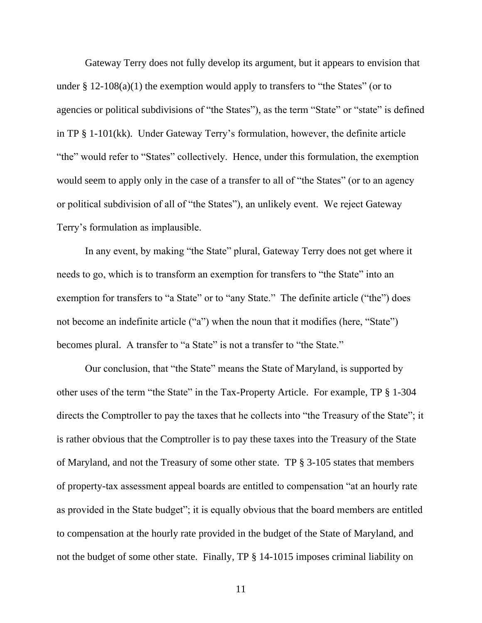Gateway Terry does not fully develop its argument, but it appears to envision that under  $\S 12{\text -}108(a)(1)$  the exemption would apply to transfers to "the States" (or to agencies or political subdivisions of "the States"), as the term "State" or "state" is defined in TP § 1-101(kk). Under Gateway Terry's formulation, however, the definite article "the" would refer to "States" collectively. Hence, under this formulation, the exemption would seem to apply only in the case of a transfer to all of "the States" (or to an agency or political subdivision of all of "the States"), an unlikely event. We reject Gateway Terry's formulation as implausible.

In any event, by making "the State" plural, Gateway Terry does not get where it needs to go, which is to transform an exemption for transfers to "the State" into an exemption for transfers to "a State" or to "any State." The definite article ("the") does not become an indefinite article ("a") when the noun that it modifies (here, "State") becomes plural. A transfer to "a State" is not a transfer to "the State."

Our conclusion, that "the State" means the State of Maryland, is supported by other uses of the term "the State" in the Tax-Property Article. For example, TP § 1-304 directs the Comptroller to pay the taxes that he collects into "the Treasury of the State"; it is rather obvious that the Comptroller is to pay these taxes into the Treasury of the State of Maryland, and not the Treasury of some other state. TP § 3-105 states that members of property-tax assessment appeal boards are entitled to compensation "at an hourly rate as provided in the State budget"; it is equally obvious that the board members are entitled to compensation at the hourly rate provided in the budget of the State of Maryland, and not the budget of some other state. Finally, TP § 14-1015 imposes criminal liability on

11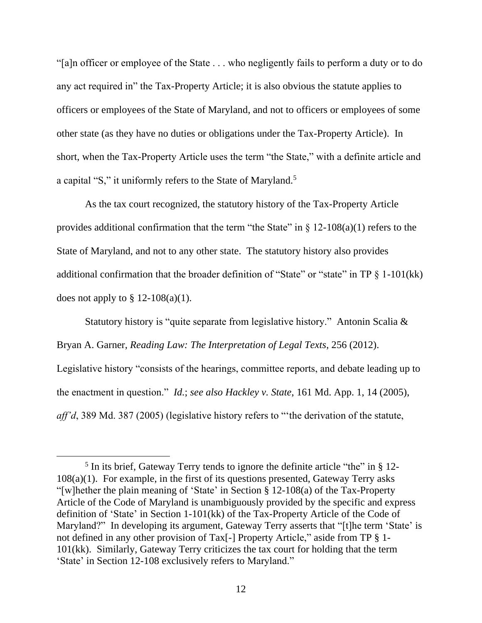"[a]n officer or employee of the State . . . who negligently fails to perform a duty or to do any act required in" the Tax-Property Article; it is also obvious the statute applies to officers or employees of the State of Maryland, and not to officers or employees of some other state (as they have no duties or obligations under the Tax-Property Article). In short, when the Tax-Property Article uses the term "the State," with a definite article and a capital "S," it uniformly refers to the State of Maryland.<sup>5</sup>

As the tax court recognized, the statutory history of the Tax-Property Article provides additional confirmation that the term "the State" in  $\S$  12-108(a)(1) refers to the State of Maryland, and not to any other state. The statutory history also provides additional confirmation that the broader definition of "State" or "state" in TP § 1-101(kk) does not apply to  $\S 12-108(a)(1)$ .

Statutory history is "quite separate from legislative history." Antonin Scalia & Bryan A. Garner, *Reading Law: The Interpretation of Legal Texts*, 256 (2012). Legislative history "consists of the hearings, committee reports, and debate leading up to the enactment in question." *Id.*; *see also Hackley v. State*, 161 Md. App. 1, 14 (2005), *aff'd*, 389 Md. 387 (2005) (legislative history refers to "'the derivation of the statute,

<sup>&</sup>lt;sup>5</sup> In its brief, Gateway Terry tends to ignore the definite article "the" in § 12-108(a)(1). For example, in the first of its questions presented, Gateway Terry asks "[w]hether the plain meaning of 'State' in Section § 12-108(a) of the Tax-Property Article of the Code of Maryland is unambiguously provided by the specific and express definition of 'State' in Section 1-101(kk) of the Tax-Property Article of the Code of Maryland?" In developing its argument, Gateway Terry asserts that "[t]he term 'State' is not defined in any other provision of Tax[-] Property Article," aside from TP § 1- 101(kk). Similarly, Gateway Terry criticizes the tax court for holding that the term 'State' in Section 12-108 exclusively refers to Maryland."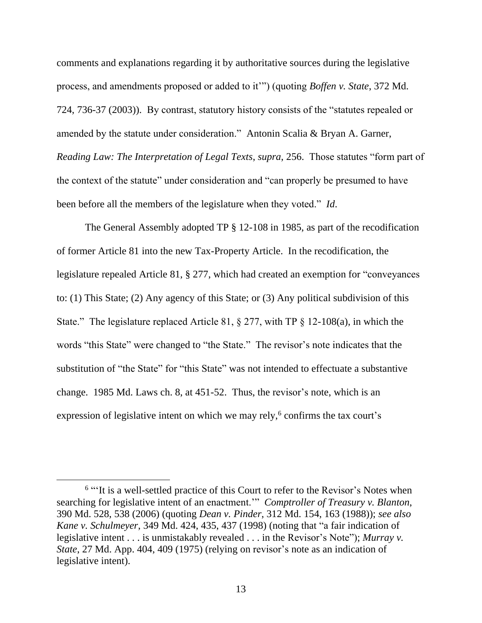comments and explanations regarding it by authoritative sources during the legislative process, and amendments proposed or added to it'") (quoting *Boffen v. State*, 372 Md. 724, 736-37 (2003)). By contrast, statutory history consists of the "statutes repealed or amended by the statute under consideration." Antonin Scalia & Bryan A. Garner, *Reading Law: The Interpretation of Legal Texts*, *supra*, 256. Those statutes "form part of the context of the statute" under consideration and "can properly be presumed to have been before all the members of the legislature when they voted." *Id*.

The General Assembly adopted TP § 12-108 in 1985, as part of the recodification of former Article 81 into the new Tax-Property Article. In the recodification, the legislature repealed Article 81, § 277, which had created an exemption for "conveyances to: (1) This State; (2) Any agency of this State; or (3) Any political subdivision of this State." The legislature replaced Article 81, § 277, with TP § 12-108(a), in which the words "this State" were changed to "the State." The revisor's note indicates that the substitution of "the State" for "this State" was not intended to effectuate a substantive change. 1985 Md. Laws ch. 8, at 451-52. Thus, the revisor's note, which is an expression of legislative intent on which we may rely, $6$  confirms the tax court's

<sup>&</sup>lt;sup>6</sup> "It is a well-settled practice of this Court to refer to the Revisor's Notes when searching for legislative intent of an enactment.'" *Comptroller of Treasury v. Blanton*, 390 Md. 528, 538 (2006) (quoting *Dean v. Pinder*, 312 Md. 154, 163 (1988)); *see also Kane v. Schulmeyer*, 349 Md. 424, 435, 437 (1998) (noting that "a fair indication of legislative intent . . . is unmistakably revealed . . . in the Revisor's Note"); *Murray v. State*, 27 Md. App. 404, 409 (1975) (relying on revisor's note as an indication of legislative intent).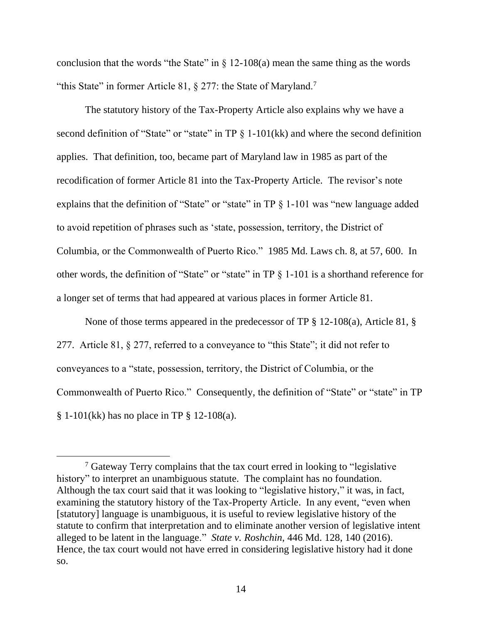conclusion that the words "the State" in  $\S$  12-108(a) mean the same thing as the words "this State" in former Article 81, § 277: the State of Maryland.<sup>7</sup>

The statutory history of the Tax-Property Article also explains why we have a second definition of "State" or "state" in TP § 1-101(kk) and where the second definition applies. That definition, too, became part of Maryland law in 1985 as part of the recodification of former Article 81 into the Tax-Property Article. The revisor's note explains that the definition of "State" or "state" in TP  $\S$  1-101 was "new language added to avoid repetition of phrases such as 'state, possession, territory, the District of Columbia, or the Commonwealth of Puerto Rico." 1985 Md. Laws ch. 8, at 57, 600. In other words, the definition of "State" or "state" in TP § 1-101 is a shorthand reference for a longer set of terms that had appeared at various places in former Article 81.

None of those terms appeared in the predecessor of TP § 12-108(a), Article 81, § 277. Article 81, § 277, referred to a conveyance to "this State"; it did not refer to conveyances to a "state, possession, territory, the District of Columbia, or the Commonwealth of Puerto Rico." Consequently, the definition of "State" or "state" in TP  $§ 1-101(kk)$  has no place in TP  $§ 12-108(a)$ .

<sup>7</sup> Gateway Terry complains that the tax court erred in looking to "legislative history" to interpret an unambiguous statute. The complaint has no foundation. Although the tax court said that it was looking to "legislative history," it was, in fact, examining the statutory history of the Tax-Property Article. In any event, "even when [statutory] language is unambiguous, it is useful to review legislative history of the statute to confirm that interpretation and to eliminate another version of legislative intent alleged to be latent in the language." *State v. Roshchin*, 446 Md. 128, 140 (2016). Hence, the tax court would not have erred in considering legislative history had it done so.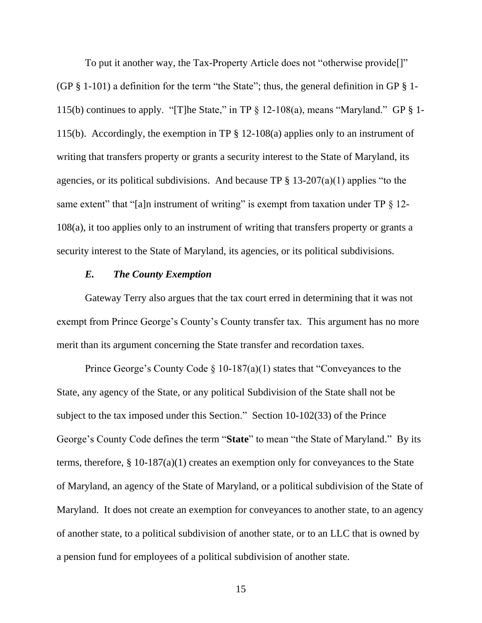To put it another way, the Tax-Property Article does not "otherwise provide[]" (GP  $\S$  1-101) a definition for the term "the State"; thus, the general definition in GP  $\S$  1-115(b) continues to apply. "[T]he State," in TP  $\S$  12-108(a), means "Maryland." GP  $\S$  1-115(b). Accordingly, the exemption in TP § 12-108(a) applies only to an instrument of writing that transfers property or grants a security interest to the State of Maryland, its agencies, or its political subdivisions. And because TP  $\S 13-207(a)(1)$  applies "to the same extent" that "[a]n instrument of writing" is exempt from taxation under  $TP \S 12$ -108(a), it too applies only to an instrument of writing that transfers property or grants a security interest to the State of Maryland, its agencies, or its political subdivisions.

### *E. The County Exemption*

Gateway Terry also argues that the tax court erred in determining that it was not exempt from Prince George's County's County transfer tax. This argument has no more merit than its argument concerning the State transfer and recordation taxes.

Prince George's County Code § 10-187(a)(1) states that "Conveyances to the State, any agency of the State, or any political Subdivision of the State shall not be subject to the tax imposed under this Section." Section 10-102(33) of the Prince George's County Code defines the term "**State**" to mean "the State of Maryland." By its terms, therefore, § 10-187(a)(1) creates an exemption only for conveyances to the State of Maryland, an agency of the State of Maryland, or a political subdivision of the State of Maryland. It does not create an exemption for conveyances to another state, to an agency of another state, to a political subdivision of another state, or to an LLC that is owned by a pension fund for employees of a political subdivision of another state.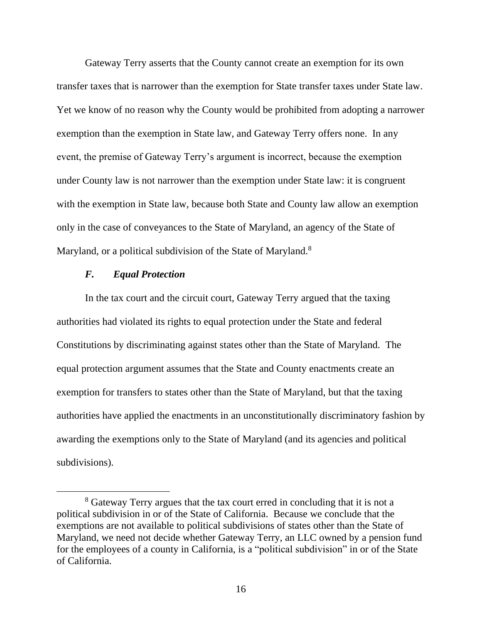Gateway Terry asserts that the County cannot create an exemption for its own transfer taxes that is narrower than the exemption for State transfer taxes under State law. Yet we know of no reason why the County would be prohibited from adopting a narrower exemption than the exemption in State law, and Gateway Terry offers none. In any event, the premise of Gateway Terry's argument is incorrect, because the exemption under County law is not narrower than the exemption under State law: it is congruent with the exemption in State law, because both State and County law allow an exemption only in the case of conveyances to the State of Maryland, an agency of the State of Maryland, or a political subdivision of the State of Maryland.<sup>8</sup>

## *F. Equal Protection*

In the tax court and the circuit court, Gateway Terry argued that the taxing authorities had violated its rights to equal protection under the State and federal Constitutions by discriminating against states other than the State of Maryland. The equal protection argument assumes that the State and County enactments create an exemption for transfers to states other than the State of Maryland, but that the taxing authorities have applied the enactments in an unconstitutionally discriminatory fashion by awarding the exemptions only to the State of Maryland (and its agencies and political subdivisions).

<sup>8</sup> Gateway Terry argues that the tax court erred in concluding that it is not a political subdivision in or of the State of California. Because we conclude that the exemptions are not available to political subdivisions of states other than the State of Maryland, we need not decide whether Gateway Terry, an LLC owned by a pension fund for the employees of a county in California, is a "political subdivision" in or of the State of California.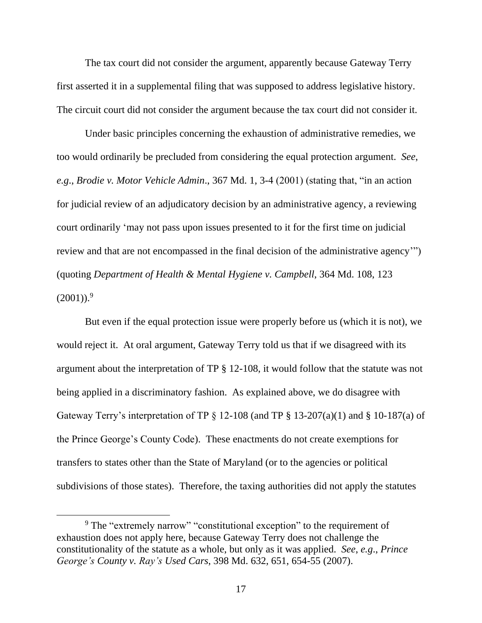The tax court did not consider the argument, apparently because Gateway Terry first asserted it in a supplemental filing that was supposed to address legislative history. The circuit court did not consider the argument because the tax court did not consider it.

Under basic principles concerning the exhaustion of administrative remedies, we too would ordinarily be precluded from considering the equal protection argument. *See*, *e.g*., *Brodie v. Motor Vehicle Admin*., 367 Md. 1, 3-4 (2001) (stating that, "in an action for judicial review of an adjudicatory decision by an administrative agency, a reviewing court ordinarily 'may not pass upon issues presented to it for the first time on judicial review and that are not encompassed in the final decision of the administrative agency'") (quoting *Department of Health & Mental Hygiene v. Campbell*, 364 Md. 108, 123  $(2001)$ .<sup>9</sup>

But even if the equal protection issue were properly before us (which it is not), we would reject it. At oral argument, Gateway Terry told us that if we disagreed with its argument about the interpretation of TP § 12-108, it would follow that the statute was not being applied in a discriminatory fashion. As explained above, we do disagree with Gateway Terry's interpretation of TP  $\S$  12-108 (and TP  $\S$  13-207(a)(1) and  $\S$  10-187(a) of the Prince George's County Code). These enactments do not create exemptions for transfers to states other than the State of Maryland (or to the agencies or political subdivisions of those states). Therefore, the taxing authorities did not apply the statutes

<sup>&</sup>lt;sup>9</sup> The "extremely narrow" "constitutional exception" to the requirement of exhaustion does not apply here, because Gateway Terry does not challenge the constitutionality of the statute as a whole, but only as it was applied. *See*, *e.g*., *Prince George's County v. Ray's Used Cars*, 398 Md. 632, 651, 654-55 (2007).